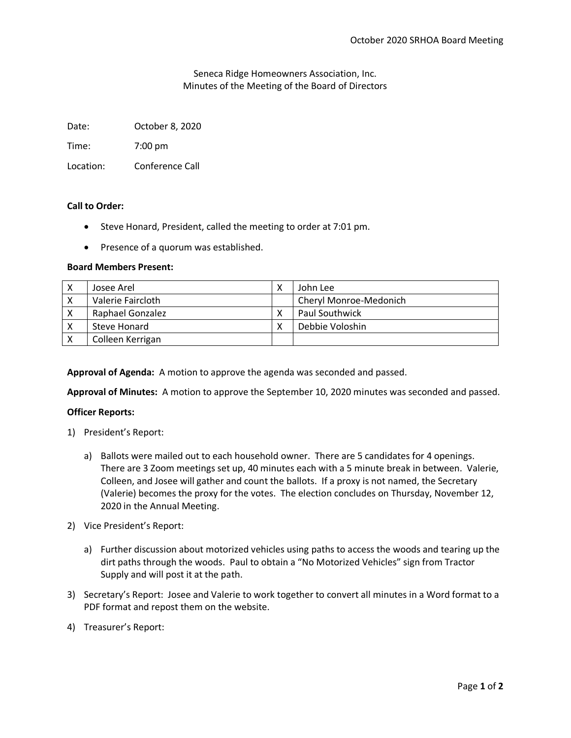Seneca Ridge Homeowners Association, Inc. Minutes of the Meeting of the Board of Directors

Date: October 8, 2020

Time: 7:00 pm

Location: Conference Call

# **Call to Order:**

- Steve Honard, President, called the meeting to order at 7:01 pm.
- Presence of a quorum was established.

# **Board Members Present:**

| Josee Arel        | John Lee               |
|-------------------|------------------------|
| Valerie Faircloth | Cheryl Monroe-Medonich |
| Raphael Gonzalez  | <b>Paul Southwick</b>  |
| Steve Honard      | Debbie Voloshin        |
| Colleen Kerrigan  |                        |

**Approval of Agenda:** A motion to approve the agenda was seconded and passed.

**Approval of Minutes:** A motion to approve the September 10, 2020 minutes was seconded and passed.

# **Officer Reports:**

- 1) President's Report:
	- a) Ballots were mailed out to each household owner. There are 5 candidates for 4 openings. There are 3 Zoom meetings set up, 40 minutes each with a 5 minute break in between. Valerie, Colleen, and Josee will gather and count the ballots. If a proxy is not named, the Secretary (Valerie) becomes the proxy for the votes. The election concludes on Thursday, November 12, 2020 in the Annual Meeting.
- 2) Vice President's Report:
	- a) Further discussion about motorized vehicles using paths to access the woods and tearing up the dirt paths through the woods. Paul to obtain a "No Motorized Vehicles" sign from Tractor Supply and will post it at the path.
- 3) Secretary's Report: Josee and Valerie to work together to convert all minutes in a Word format to a PDF format and repost them on the website.
- 4) Treasurer's Report: